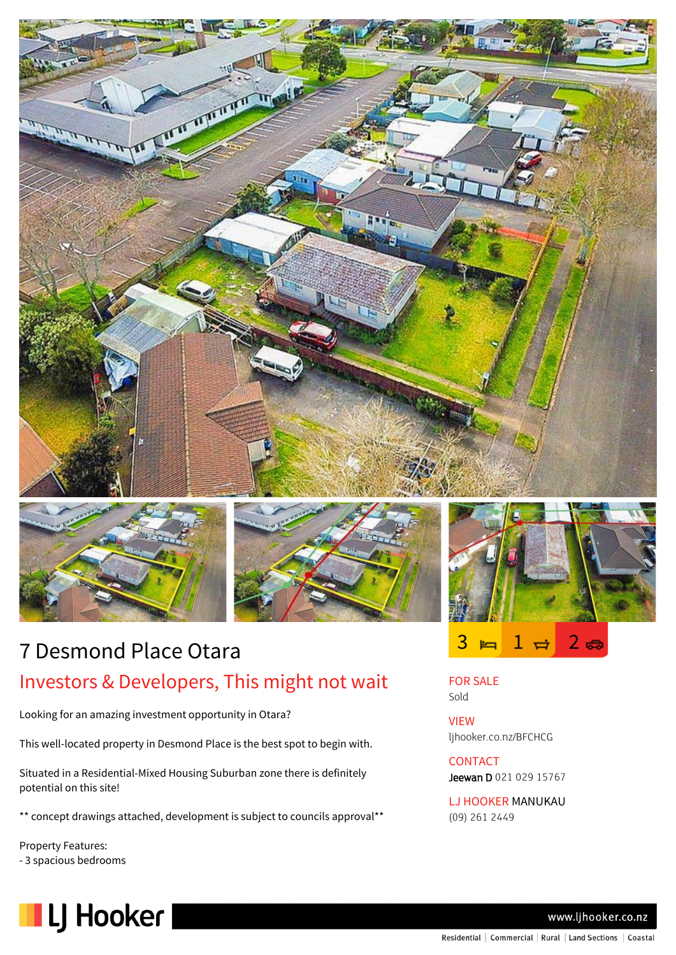

# 7 Desmond Place Otara Investors & Developers, This might not wait

Looking for an amazing investment opportunity in Otara?

This well-located property in Desmond Place is the best spot to begin with.

Situated in a Residential-Mixed Housing Suburban zone there is definitely potential on this site!

\*\* concept drawings attached, development is subject to councils approval\*\*

Property Features: - 3 spacious bedrooms





FOR SALE Sold

VIEW ljhooker.co.nz/BFCHCG

**CONTACT** Jeewan D 021 029 15767

LJ HOOKER MANUKAU (09) 261 2449